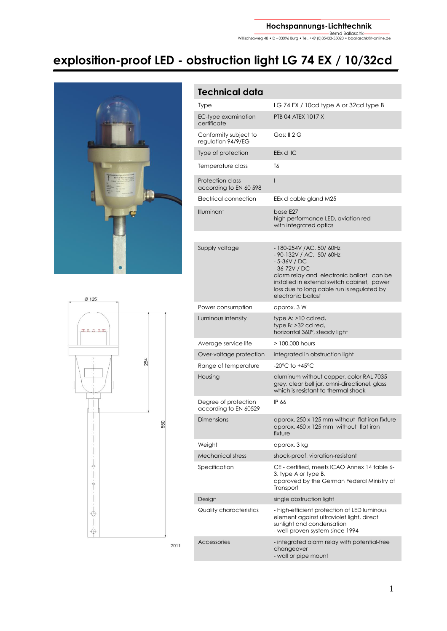Bernd Ballaschk Willischzaweg 48 • D - 03096 Burg • Tel. +49 (0)35433-55020 • bballaschk@t-online.de

# **explosition-proof LED - obstruction light LG 74 EX / 10/32cd**





### **Technical data** Type LG 74 EX / 10cd type A or 32cd type B EC-typ[e examination](http://dict.leo.org/ende?lp=ende&p=ziiQA&search=examination&trestr=0x801) [certificate](http://dict.leo.org/ende?lp=ende&p=ziiQA&search=certificate&trestr=0x801) PTB 04 ATEX 1017 X Conformity subject to regulation 94/9/EG Gas: II 2 G Type of protection EEx d IIC Temperature class T6 Protection class according to EN 60 598 I Electrical connection EEx d cable gland M25 Illuminant base E27 high performance LED, aviation red with integrated optics Supply voltage - 180-254V / AC, 50/ 60Hz - 90-132V / AC, 50/ 60Hz - 5-36V / DC - 36-72V / DC alarm relay and electronic ballast can be installed in external switch cabinet, power loss due to long cable run is regulated by electronic ballast Power consumption approx. 3 W Luminous intensity type A: >10 cd red, type B: >32 cd red, horizontal 360°, steady light Average service life > 100.000 hours Over-voltage protection integrated in obstruction light Range of temperature -20°C to +45°C Housing aluminum without copper, color RAL 7035 grey, clear bell jar, omni-directionel, glass which is resistant to thermal shock Degree of protection according to EN 60529 IP 66 Dimensions approx. 250 x 125 mm without flat iron fixture approx. 450 x 125 mm without flat iron fixture Weight **approx.** 3 kg Mechanical stress shock-proof, vibration-resistant Specification CE - certified, meets ICAO Annex 14 table 6- 3. type A or type B, approved by the German Federal Ministry of Transport Design single obstruction light [Quality](http://dict.leo.org/ende?lp=ende&p=ziiQA&search=quality&trestr=0x801) [characteristics](http://dict.leo.org/ende?lp=ende&p=ziiQA&search=characteristics&trestr=0x801) - high-efficient protection of LED luminous element agains[t ultraviolet](http://dict.leo.org/ende?lp=ende&p=ziiQA&search=ultraviolet&trestr=0x8001) [light,](http://dict.leo.org/ende?lp=ende&p=ziiQA&search=light&trestr=0x8001) direct sunlight and condensation - well-proven system since 1994 Accessories - integrated alarm relay with potential-free changeover - wall or pipe mount